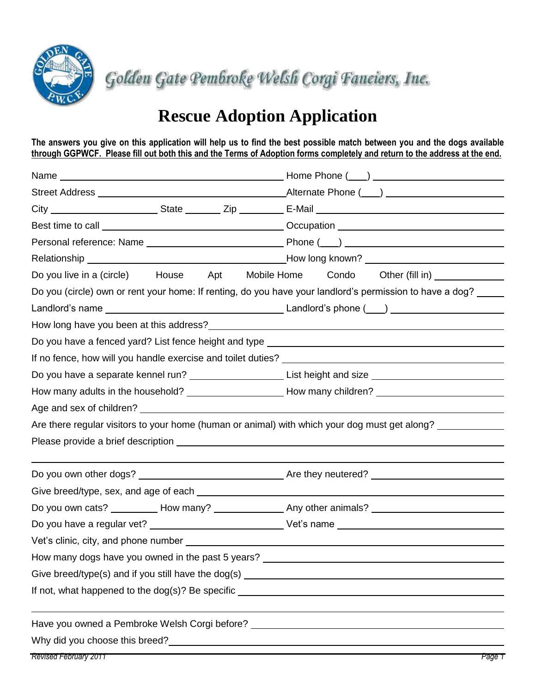

Golden Gate Pembroke Welsh Corgi Fanciers, Inc.

## **Rescue Adoption Application**

**The answers you give on this application will help us to find the best possible match between you and the dogs available through GGPWCF. Please fill out both this and the Terms of Adoption forms completely and return to the address at the end.**

|                                                   | Best time to call <b>example and the contract of the contract of the contract of the contract of the contract of the contract of the contract of the contract of the contract of the contract of the contract of the contract of</b> |  |  |  |  |
|---------------------------------------------------|--------------------------------------------------------------------------------------------------------------------------------------------------------------------------------------------------------------------------------------|--|--|--|--|
|                                                   |                                                                                                                                                                                                                                      |  |  |  |  |
|                                                   |                                                                                                                                                                                                                                      |  |  |  |  |
|                                                   | Do you live in a (circle) House Apt Mobile Home Condo Other (fill in)                                                                                                                                                                |  |  |  |  |
|                                                   | Do you (circle) own or rent your home: If renting, do you have your landlord's permission to have a dog?                                                                                                                             |  |  |  |  |
|                                                   |                                                                                                                                                                                                                                      |  |  |  |  |
|                                                   |                                                                                                                                                                                                                                      |  |  |  |  |
|                                                   | Do you have a fenced yard? List fence height and type __________________________                                                                                                                                                     |  |  |  |  |
|                                                   |                                                                                                                                                                                                                                      |  |  |  |  |
|                                                   | Do you have a separate kennel run? ________________________List height and size ______________________________                                                                                                                       |  |  |  |  |
|                                                   | How many adults in the household? _______________________How many children? ________________________                                                                                                                                 |  |  |  |  |
|                                                   |                                                                                                                                                                                                                                      |  |  |  |  |
|                                                   | Are there regular visitors to your home (human or animal) with which your dog must get along?                                                                                                                                        |  |  |  |  |
|                                                   |                                                                                                                                                                                                                                      |  |  |  |  |
|                                                   |                                                                                                                                                                                                                                      |  |  |  |  |
|                                                   | Do you own other dogs? Notice that the same and the set of they neutered? Notice that the set of the set of the set of the set of the set of the set of the set of the set of the set of the set of the set of the set of the        |  |  |  |  |
|                                                   |                                                                                                                                                                                                                                      |  |  |  |  |
|                                                   | Do you own cats? __________ How many? _______________ Any other animals? __________________________                                                                                                                                  |  |  |  |  |
|                                                   |                                                                                                                                                                                                                                      |  |  |  |  |
|                                                   |                                                                                                                                                                                                                                      |  |  |  |  |
| How many dogs have you owned in the past 5 years? |                                                                                                                                                                                                                                      |  |  |  |  |
|                                                   |                                                                                                                                                                                                                                      |  |  |  |  |
|                                                   |                                                                                                                                                                                                                                      |  |  |  |  |
|                                                   |                                                                                                                                                                                                                                      |  |  |  |  |
|                                                   |                                                                                                                                                                                                                                      |  |  |  |  |
|                                                   | Why did you choose this breed?<br><u> Why did you choose this breed?</u>                                                                                                                                                             |  |  |  |  |
|                                                   |                                                                                                                                                                                                                                      |  |  |  |  |